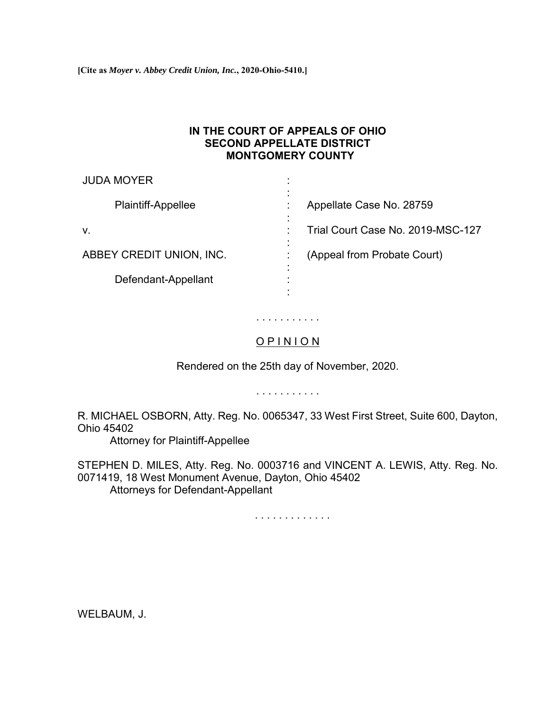**[Cite as** *Moyer v. Abbey Credit Union, Inc.***, 2020-Ohio-5410.]**

### **IN THE COURT OF APPEALS OF OHIO SECOND APPELLATE DISTRICT MONTGOMERY COUNTY**

| <b>JUDA MOYER</b>        | ٠<br>٠                                                   |
|--------------------------|----------------------------------------------------------|
| Plaintiff-Appellee       | $\blacksquare$<br>Appellate Case No. 28759               |
| V.                       | $\blacksquare$<br>Trial Court Case No. 2019-MSC-127<br>٠ |
| ABBEY CREDIT UNION, INC. | $\blacksquare$<br>(Appeal from Probate Court)<br>٠       |
| Defendant-Appellant      | $\blacksquare$<br>٠<br>٠                                 |

# . . . . . . . . . . .

## O P I N I O N

Rendered on the 25th day of November, 2020.

. . . . . . . . . . .

R. MICHAEL OSBORN, Atty. Reg. No. 0065347, 33 West First Street, Suite 600, Dayton, Ohio 45402

Attorney for Plaintiff-Appellee

STEPHEN D. MILES, Atty. Reg. No. 0003716 and VINCENT A. LEWIS, Atty. Reg. No. 0071419, 18 West Monument Avenue, Dayton, Ohio 45402 Attorneys for Defendant-Appellant

. . . . . . . . . . . . .

WELBAUM, J.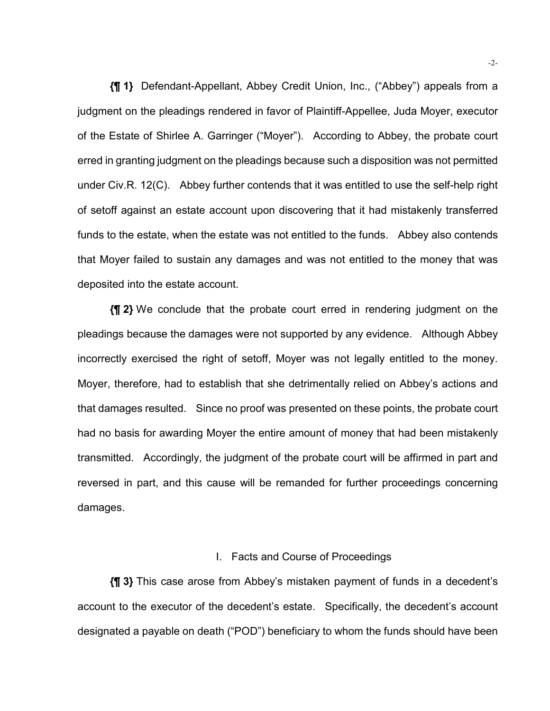**{¶ 1}** Defendant-Appellant, Abbey Credit Union, Inc., ("Abbey") appeals from a judgment on the pleadings rendered in favor of Plaintiff-Appellee, Juda Moyer, executor of the Estate of Shirlee A. Garringer ("Moyer"). According to Abbey, the probate court erred in granting judgment on the pleadings because such a disposition was not permitted under Civ.R. 12(C). Abbey further contends that it was entitled to use the self-help right of setoff against an estate account upon discovering that it had mistakenly transferred funds to the estate, when the estate was not entitled to the funds. Abbey also contends that Moyer failed to sustain any damages and was not entitled to the money that was deposited into the estate account.

**{¶ 2}** We conclude that the probate court erred in rendering judgment on the pleadings because the damages were not supported by any evidence. Although Abbey incorrectly exercised the right of setoff, Moyer was not legally entitled to the money. Moyer, therefore, had to establish that she detrimentally relied on Abbey's actions and that damages resulted. Since no proof was presented on these points, the probate court had no basis for awarding Moyer the entire amount of money that had been mistakenly transmitted. Accordingly, the judgment of the probate court will be affirmed in part and reversed in part, and this cause will be remanded for further proceedings concerning damages.

#### I. Facts and Course of Proceedings

**{¶ 3}** This case arose from Abbey's mistaken payment of funds in a decedent's account to the executor of the decedent's estate. Specifically, the decedent's account designated a payable on death ("POD") beneficiary to whom the funds should have been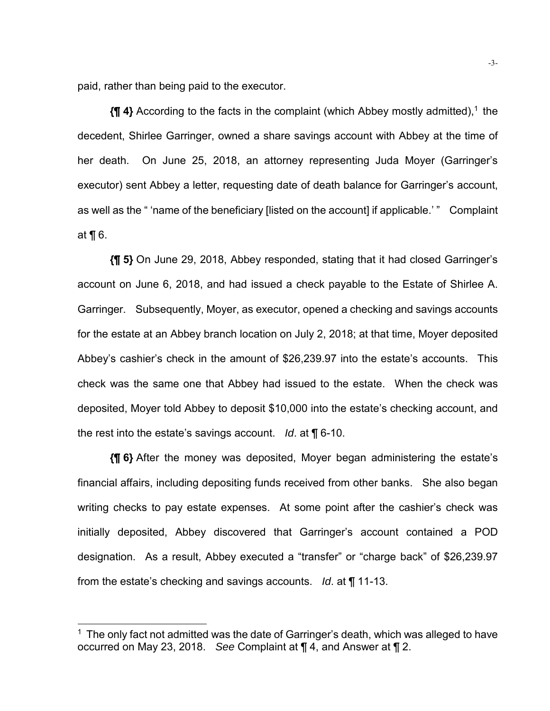paid, rather than being paid to the executor.

l

**{¶ 4}** According to the facts in the complaint (which Abbey mostly admitted),<sup>1</sup> the decedent, Shirlee Garringer, owned a share savings account with Abbey at the time of her death. On June 25, 2018, an attorney representing Juda Moyer (Garringer's executor) sent Abbey a letter, requesting date of death balance for Garringer's account, as well as the " 'name of the beneficiary [listed on the account] if applicable.' " Complaint at ¶ 6.

**{¶ 5}** On June 29, 2018, Abbey responded, stating that it had closed Garringer's account on June 6, 2018, and had issued a check payable to the Estate of Shirlee A. Garringer. Subsequently, Moyer, as executor, opened a checking and savings accounts for the estate at an Abbey branch location on July 2, 2018; at that time, Moyer deposited Abbey's cashier's check in the amount of \$26,239.97 into the estate's accounts. This check was the same one that Abbey had issued to the estate. When the check was deposited, Moyer told Abbey to deposit \$10,000 into the estate's checking account, and the rest into the estate's savings account. *Id*. at ¶ 6-10.

**{¶ 6}** After the money was deposited, Moyer began administering the estate's financial affairs, including depositing funds received from other banks. She also began writing checks to pay estate expenses. At some point after the cashier's check was initially deposited, Abbey discovered that Garringer's account contained a POD designation. As a result, Abbey executed a "transfer" or "charge back" of \$26,239.97 from the estate's checking and savings accounts. *Id*. at ¶ 11-13.

 $1$  The only fact not admitted was the date of Garringer's death, which was alleged to have occurred on May 23, 2018. *See* Complaint at ¶ 4, and Answer at ¶ 2.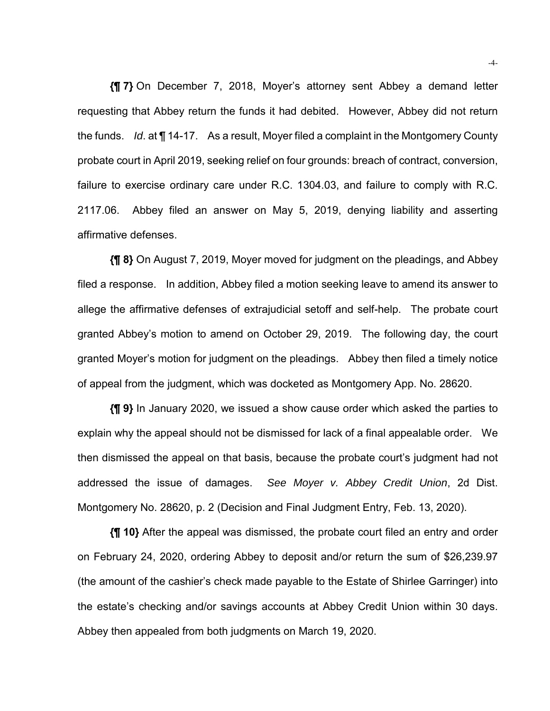**{¶ 7}** On December 7, 2018, Moyer's attorney sent Abbey a demand letter requesting that Abbey return the funds it had debited. However, Abbey did not return the funds. *Id*. at ¶ 14-17. As a result, Moyer filed a complaint in the Montgomery County probate court in April 2019, seeking relief on four grounds: breach of contract, conversion, failure to exercise ordinary care under R.C. 1304.03, and failure to comply with R.C. 2117.06. Abbey filed an answer on May 5, 2019, denying liability and asserting affirmative defenses.

**{¶ 8}** On August 7, 2019, Moyer moved for judgment on the pleadings, and Abbey filed a response. In addition, Abbey filed a motion seeking leave to amend its answer to allege the affirmative defenses of extrajudicial setoff and self-help. The probate court granted Abbey's motion to amend on October 29, 2019. The following day, the court granted Moyer's motion for judgment on the pleadings. Abbey then filed a timely notice of appeal from the judgment, which was docketed as Montgomery App. No. 28620.

**{¶ 9}** In January 2020, we issued a show cause order which asked the parties to explain why the appeal should not be dismissed for lack of a final appealable order. We then dismissed the appeal on that basis, because the probate court's judgment had not addressed the issue of damages. *See Moyer v. Abbey Credit Union*, 2d Dist. Montgomery No. 28620, p. 2 (Decision and Final Judgment Entry, Feb. 13, 2020).

**{¶ 10}** After the appeal was dismissed, the probate court filed an entry and order on February 24, 2020, ordering Abbey to deposit and/or return the sum of \$26,239.97 (the amount of the cashier's check made payable to the Estate of Shirlee Garringer) into the estate's checking and/or savings accounts at Abbey Credit Union within 30 days. Abbey then appealed from both judgments on March 19, 2020.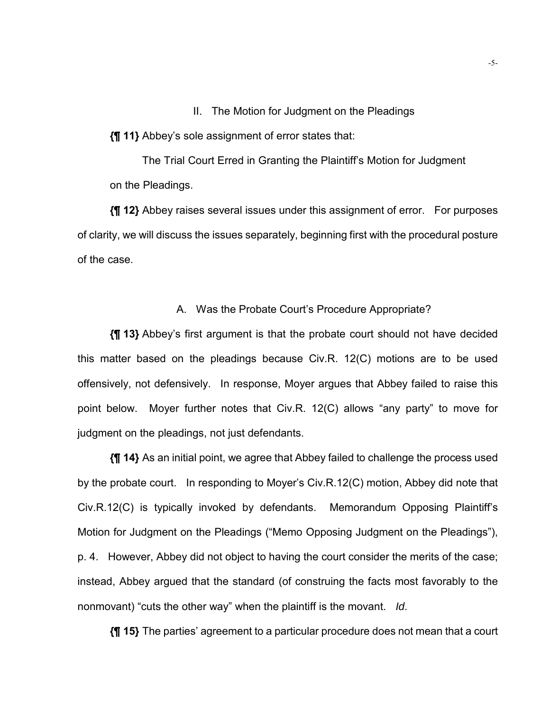II. The Motion for Judgment on the Pleadings

**{¶ 11}** Abbey's sole assignment of error states that:

The Trial Court Erred in Granting the Plaintiff's Motion for Judgment on the Pleadings.

**{¶ 12}** Abbey raises several issues under this assignment of error. For purposes of clarity, we will discuss the issues separately, beginning first with the procedural posture of the case.

#### A. Was the Probate Court's Procedure Appropriate?

**{¶ 13}** Abbey's first argument is that the probate court should not have decided this matter based on the pleadings because Civ.R. 12(C) motions are to be used offensively, not defensively. In response, Moyer argues that Abbey failed to raise this point below. Moyer further notes that Civ.R. 12(C) allows "any party" to move for judgment on the pleadings, not just defendants.

**{¶ 14}** As an initial point, we agree that Abbey failed to challenge the process used by the probate court. In responding to Moyer's Civ.R.12(C) motion, Abbey did note that Civ.R.12(C) is typically invoked by defendants. Memorandum Opposing Plaintiff's Motion for Judgment on the Pleadings ("Memo Opposing Judgment on the Pleadings"), p. 4. However, Abbey did not object to having the court consider the merits of the case; instead, Abbey argued that the standard (of construing the facts most favorably to the nonmovant) "cuts the other way" when the plaintiff is the movant. *Id*.

**{¶ 15}** The parties' agreement to a particular procedure does not mean that a court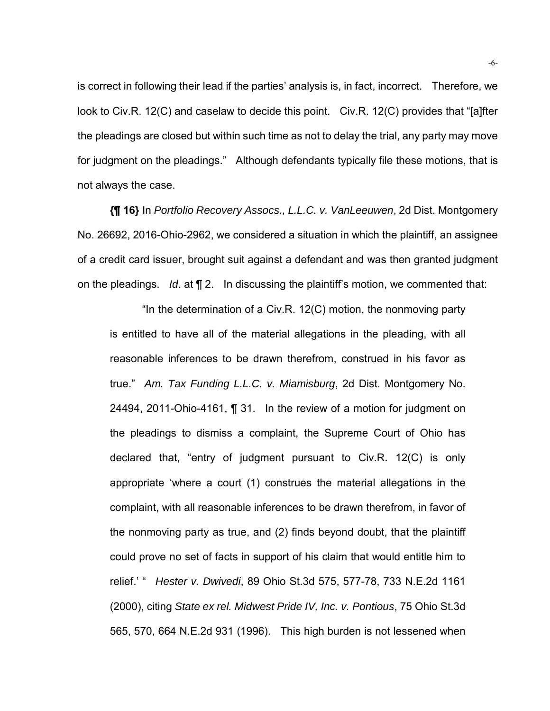is correct in following their lead if the parties' analysis is, in fact, incorrect. Therefore, we look to Civ.R. 12(C) and caselaw to decide this point. Civ.R. 12(C) provides that "[a]fter the pleadings are closed but within such time as not to delay the trial, any party may move for judgment on the pleadings." Although defendants typically file these motions, that is not always the case.

**{¶ 16}** In *Portfolio Recovery Assocs., L.L.C. v. VanLeeuwen*, 2d Dist. Montgomery No. 26692, 2016-Ohio-2962, we considered a situation in which the plaintiff, an assignee of a credit card issuer, brought suit against a defendant and was then granted judgment on the pleadings. *Id*. at ¶ 2. In discussing the plaintiff's motion, we commented that:

"In the determination of a Civ.R. 12(C) motion, the nonmoving party is entitled to have all of the material allegations in the pleading, with all reasonable inferences to be drawn therefrom, construed in his favor as true." *Am. Tax Funding L.L.C. v. Miamisburg*, 2d Dist. Montgomery No. 24494, 2011-Ohio-4161, ¶ 31. In the review of a motion for judgment on the pleadings to dismiss a complaint, the Supreme Court of Ohio has declared that, "entry of judgment pursuant to Civ.R. 12(C) is only appropriate 'where a court (1) construes the material allegations in the complaint, with all reasonable inferences to be drawn therefrom, in favor of the nonmoving party as true, and (2) finds beyond doubt, that the plaintiff could prove no set of facts in support of his claim that would entitle him to relief.' " *Hester v. Dwivedi*, 89 Ohio St.3d 575, 577-78, 733 N.E.2d 1161 (2000), citing *State ex rel. Midwest Pride IV, Inc. v. Pontious*, 75 Ohio St.3d 565, 570, 664 N.E.2d 931 (1996). This high burden is not lessened when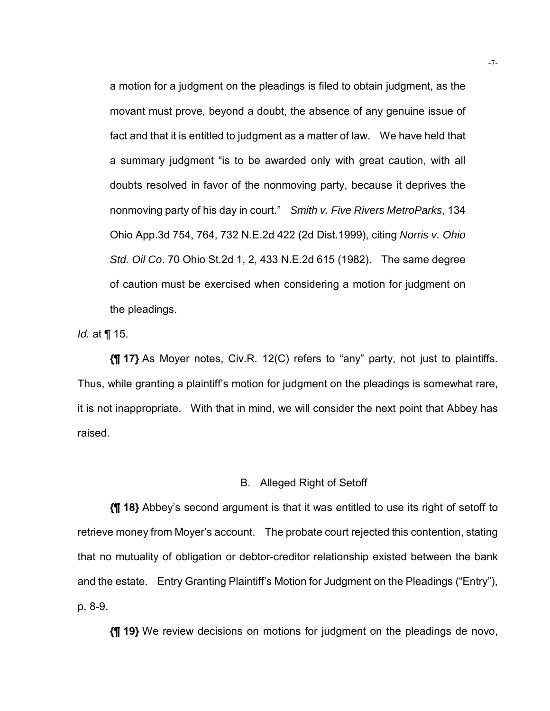a motion for a judgment on the pleadings is filed to obtain judgment, as the movant must prove, beyond a doubt, the absence of any genuine issue of fact and that it is entitled to judgment as a matter of law. We have held that a summary judgment "is to be awarded only with great caution, with all doubts resolved in favor of the nonmoving party, because it deprives the nonmoving party of his day in court." *Smith v. Five Rivers MetroParks*, 134 Ohio App.3d 754, 764, 732 N.E.2d 422 (2d Dist.1999), citing *Norris v. Ohio Std. Oil Co*. 70 Ohio St.2d 1, 2, 433 N.E.2d 615 (1982). The same degree of caution must be exercised when considering a motion for judgment on the pleadings.

*Id.* at ¶ 15.

**{¶ 17}** As Moyer notes, Civ.R. 12(C) refers to "any" party, not just to plaintiffs. Thus, while granting a plaintiff's motion for judgment on the pleadings is somewhat rare, it is not inappropriate. With that in mind, we will consider the next point that Abbey has raised.

#### B. Alleged Right of Setoff

**{¶ 18}** Abbey's second argument is that it was entitled to use its right of setoff to retrieve money from Moyer's account. The probate court rejected this contention, stating that no mutuality of obligation or debtor-creditor relationship existed between the bank and the estate. Entry Granting Plaintiff's Motion for Judgment on the Pleadings ("Entry"), p. 8-9.

**{¶ 19}** We review decisions on motions for judgment on the pleadings de novo,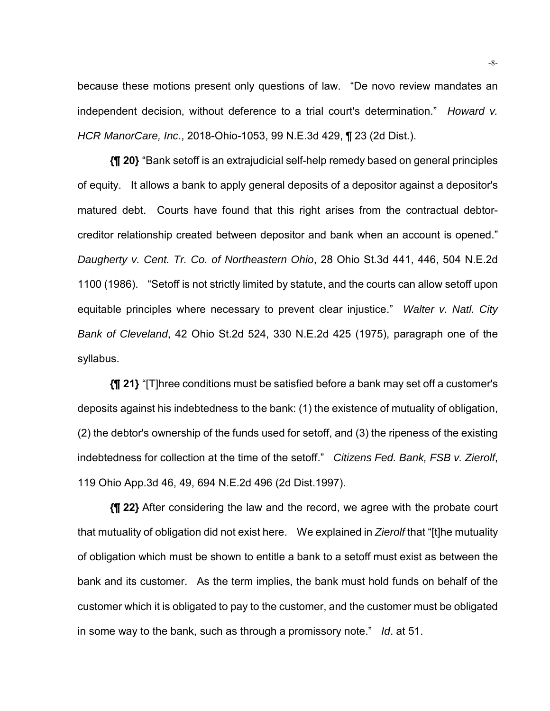because these motions present only questions of law. "De novo review mandates an independent decision, without deference to a trial court's determination." *Howard v. HCR ManorCare, Inc*., 2018-Ohio-1053, 99 N.E.3d 429, ¶ 23 (2d Dist.).

**{¶ 20}** "Bank setoff is an extrajudicial self-help remedy based on general principles of equity. It allows a bank to apply general deposits of a depositor against a depositor's matured debt. Courts have found that this right arises from the contractual debtorcreditor relationship created between depositor and bank when an account is opened." *Daugherty v. Cent. Tr. Co. of Northeastern Ohio*, 28 Ohio St.3d 441, 446, 504 N.E.2d 1100 (1986). "Setoff is not strictly limited by statute, and the courts can allow setoff upon equitable principles where necessary to prevent clear injustice." *Walter v. Natl. City Bank of Cleveland*, 42 Ohio St.2d 524, 330 N.E.2d 425 (1975), paragraph one of the syllabus.

**{¶ 21}** "[T]hree conditions must be satisfied before a bank may set off a customer's deposits against his indebtedness to the bank: (1) the existence of mutuality of obligation, (2) the debtor's ownership of the funds used for setoff, and (3) the ripeness of the existing indebtedness for collection at the time of the setoff." *Citizens Fed. Bank, FSB v. Zierolf*, 119 Ohio App.3d 46, 49, 694 N.E.2d 496 (2d Dist.1997).

**{¶ 22}** After considering the law and the record, we agree with the probate court that mutuality of obligation did not exist here. We explained in *Zierolf* that "[t]he mutuality of obligation which must be shown to entitle a bank to a setoff must exist as between the bank and its customer. As the term implies, the bank must hold funds on behalf of the customer which it is obligated to pay to the customer, and the customer must be obligated in some way to the bank, such as through a promissory note." *Id*. at 51.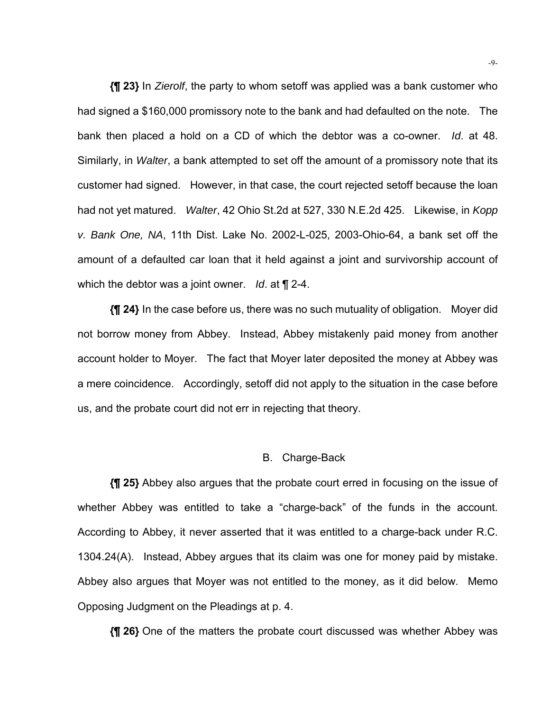**{¶ 23}** In *Zierolf*, the party to whom setoff was applied was a bank customer who had signed a \$160,000 promissory note to the bank and had defaulted on the note. The bank then placed a hold on a CD of which the debtor was a co-owner. *Id*. at 48. Similarly, in *Walter*, a bank attempted to set off the amount of a promissory note that its customer had signed. However, in that case, the court rejected setoff because the loan had not yet matured. *Walter*, 42 Ohio St.2d at 527, 330 N.E.2d 425. Likewise, in *Kopp v. Bank One, NA*, 11th Dist. Lake No. 2002-L-025, 2003-Ohio-64, a bank set off the amount of a defaulted car loan that it held against a joint and survivorship account of which the debtor was a joint owner. *Id*. at ¶ 2-4.

**{¶ 24}** In the case before us, there was no such mutuality of obligation. Moyer did not borrow money from Abbey. Instead, Abbey mistakenly paid money from another account holder to Moyer. The fact that Moyer later deposited the money at Abbey was a mere coincidence. Accordingly, setoff did not apply to the situation in the case before us, and the probate court did not err in rejecting that theory.

#### B. Charge-Back

**{¶ 25}** Abbey also argues that the probate court erred in focusing on the issue of whether Abbey was entitled to take a "charge-back" of the funds in the account. According to Abbey, it never asserted that it was entitled to a charge-back under R.C. 1304.24(A). Instead, Abbey argues that its claim was one for money paid by mistake. Abbey also argues that Moyer was not entitled to the money, as it did below. Memo Opposing Judgment on the Pleadings at p. 4.

**{¶ 26}** One of the matters the probate court discussed was whether Abbey was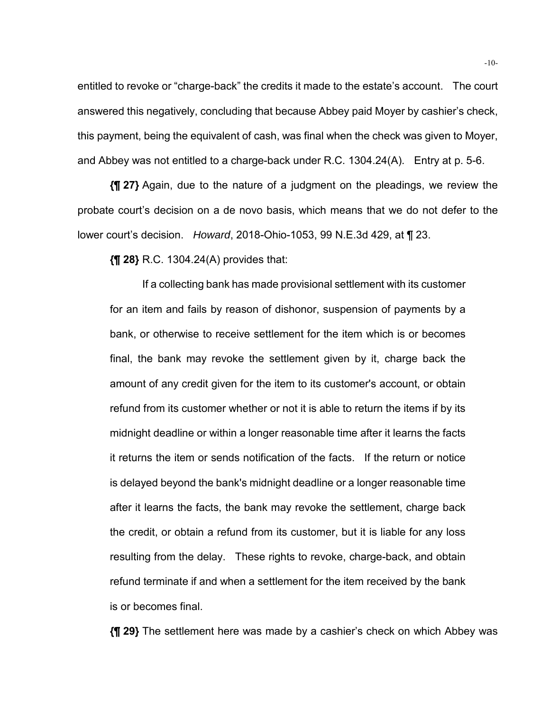entitled to revoke or "charge-back" the credits it made to the estate's account. The court answered this negatively, concluding that because Abbey paid Moyer by cashier's check, this payment, being the equivalent of cash, was final when the check was given to Moyer, and Abbey was not entitled to a charge-back under R.C. 1304.24(A). Entry at p. 5-6.

**{¶ 27}** Again, due to the nature of a judgment on the pleadings, we review the probate court's decision on a de novo basis, which means that we do not defer to the lower court's decision. *Howard*, 2018-Ohio-1053, 99 N.E.3d 429, at ¶ 23.

**{¶ 28}** R.C. 1304.24(A) provides that:

If a collecting bank has made provisional settlement with its customer for an item and fails by reason of dishonor, suspension of payments by a bank, or otherwise to receive settlement for the item which is or becomes final, the bank may revoke the settlement given by it, charge back the amount of any credit given for the item to its customer's account, or obtain refund from its customer whether or not it is able to return the items if by its midnight deadline or within a longer reasonable time after it learns the facts it returns the item or sends notification of the facts. If the return or notice is delayed beyond the bank's midnight deadline or a longer reasonable time after it learns the facts, the bank may revoke the settlement, charge back the credit, or obtain a refund from its customer, but it is liable for any loss resulting from the delay. These rights to revoke, charge-back, and obtain refund terminate if and when a settlement for the item received by the bank is or becomes final.

**{¶ 29}** The settlement here was made by a cashier's check on which Abbey was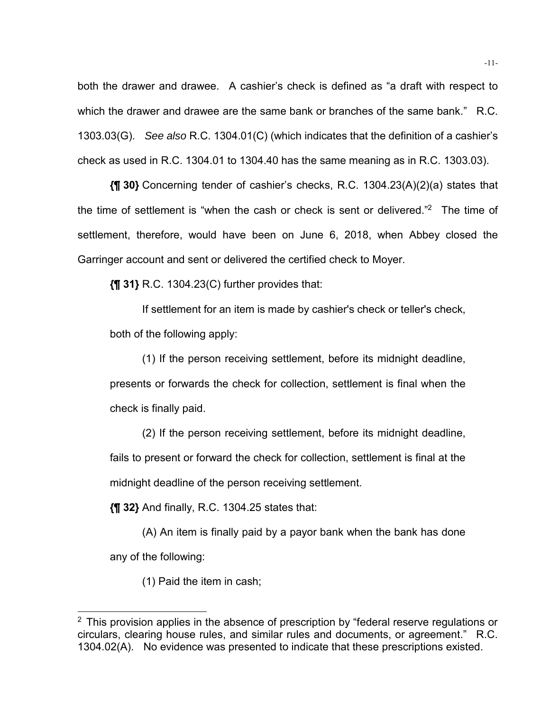both the drawer and drawee. A cashier's check is defined as "a draft with respect to which the drawer and drawee are the same bank or branches of the same bank." R.C. 1303.03(G). *See also* R.C. 1304.01(C) (which indicates that the definition of a cashier's check as used in R.C. 1304.01 to 1304.40 has the same meaning as in R.C. 1303.03).

**{¶ 30}** Concerning tender of cashier's checks, R.C. 1304.23(A)(2)(a) states that the time of settlement is "when the cash or check is sent or delivered."2 The time of settlement, therefore, would have been on June 6, 2018, when Abbey closed the Garringer account and sent or delivered the certified check to Moyer.

**{¶ 31}** R.C. 1304.23(C) further provides that:

If settlement for an item is made by cashier's check or teller's check, both of the following apply:

(1) If the person receiving settlement, before its midnight deadline, presents or forwards the check for collection, settlement is final when the check is finally paid.

(2) If the person receiving settlement, before its midnight deadline, fails to present or forward the check for collection, settlement is final at the midnight deadline of the person receiving settlement.

**{¶ 32}** And finally, R.C. 1304.25 states that:

(A) An item is finally paid by a payor bank when the bank has done any of the following:

(1) Paid the item in cash;

l

 $2$  This provision applies in the absence of prescription by "federal reserve regulations or circulars, clearing house rules, and similar rules and documents, or agreement." R.C. 1304.02(A). No evidence was presented to indicate that these prescriptions existed.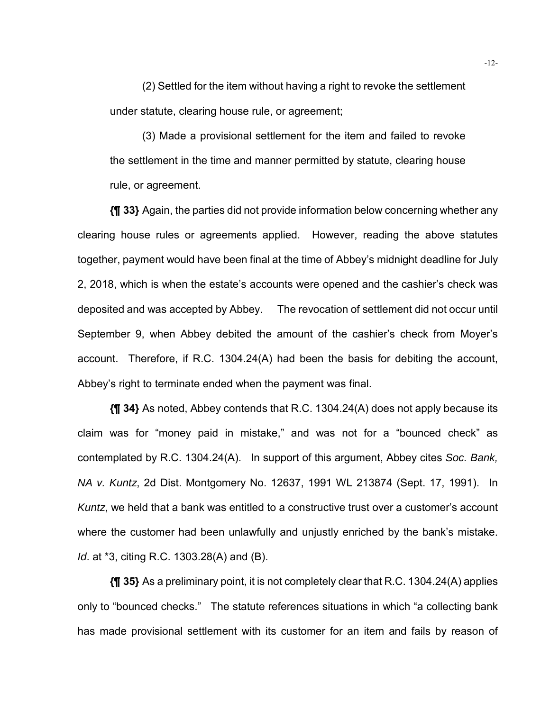(2) Settled for the item without having a right to revoke the settlement under statute, clearing house rule, or agreement;

(3) Made a provisional settlement for the item and failed to revoke the settlement in the time and manner permitted by statute, clearing house rule, or agreement.

**{¶ 33}** Again, the parties did not provide information below concerning whether any clearing house rules or agreements applied. However, reading the above statutes together, payment would have been final at the time of Abbey's midnight deadline for July 2, 2018, which is when the estate's accounts were opened and the cashier's check was deposited and was accepted by Abbey. The revocation of settlement did not occur until September 9, when Abbey debited the amount of the cashier's check from Moyer's account. Therefore, if R.C. 1304.24(A) had been the basis for debiting the account, Abbey's right to terminate ended when the payment was final.

**{¶ 34}** As noted, Abbey contends that R.C. 1304.24(A) does not apply because its claim was for "money paid in mistake," and was not for a "bounced check" as contemplated by R.C. 1304.24(A). In support of this argument, Abbey cites *Soc. Bank, NA v. Kuntz*, 2d Dist. Montgomery No. 12637, 1991 WL 213874 (Sept. 17, 1991). In *Kuntz*, we held that a bank was entitled to a constructive trust over a customer's account where the customer had been unlawfully and unjustly enriched by the bank's mistake. *Id*. at \*3, citing R.C. 1303.28(A) and (B).

**{¶ 35}** As a preliminary point, it is not completely clear that R.C. 1304.24(A) applies only to "bounced checks." The statute references situations in which "a collecting bank has made provisional settlement with its customer for an item and fails by reason of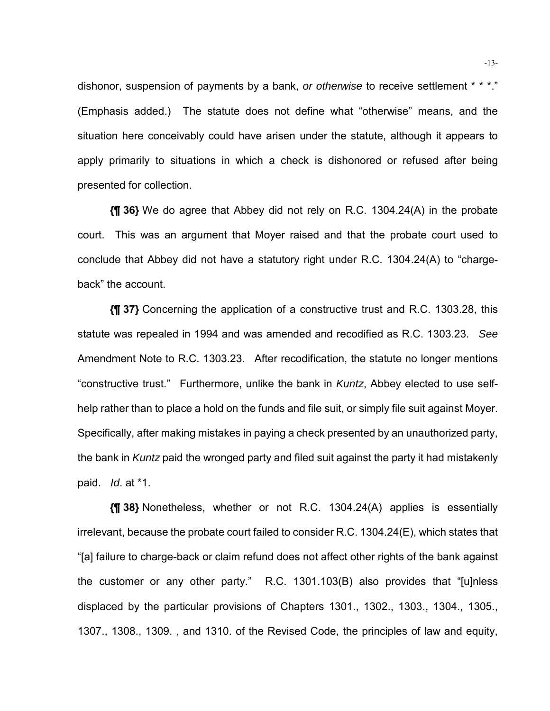dishonor, suspension of payments by a bank, *or otherwise* to receive settlement \* \* \*." (Emphasis added.) The statute does not define what "otherwise" means, and the situation here conceivably could have arisen under the statute, although it appears to apply primarily to situations in which a check is dishonored or refused after being presented for collection.

**{¶ 36}** We do agree that Abbey did not rely on R.C. 1304.24(A) in the probate court. This was an argument that Moyer raised and that the probate court used to conclude that Abbey did not have a statutory right under R.C. 1304.24(A) to "chargeback" the account.

**{¶ 37}** Concerning the application of a constructive trust and R.C. 1303.28, this statute was repealed in 1994 and was amended and recodified as R.C. 1303.23. *See* Amendment Note to R.C. 1303.23. After recodification, the statute no longer mentions "constructive trust." Furthermore, unlike the bank in *Kuntz*, Abbey elected to use selfhelp rather than to place a hold on the funds and file suit, or simply file suit against Moyer. Specifically, after making mistakes in paying a check presented by an unauthorized party, the bank in *Kuntz* paid the wronged party and filed suit against the party it had mistakenly paid. *Id*. at \*1.

**{¶ 38}** Nonetheless, whether or not R.C. 1304.24(A) applies is essentially irrelevant, because the probate court failed to consider R.C. 1304.24(E), which states that "[a] failure to charge-back or claim refund does not affect other rights of the bank against the customer or any other party." R.C. 1301.103(B) also provides that "[u]nless displaced by the particular provisions of Chapters 1301., 1302., 1303., 1304., 1305., 1307., 1308., 1309. , and 1310. of the Revised Code, the principles of law and equity,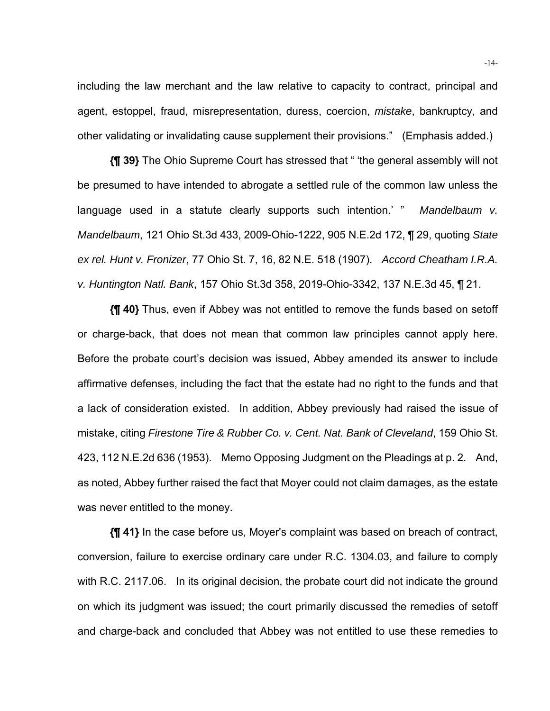including the law merchant and the law relative to capacity to contract, principal and agent, estoppel, fraud, misrepresentation, duress, coercion, *mistake*, bankruptcy, and other validating or invalidating cause supplement their provisions." (Emphasis added.)

**{¶ 39}** The Ohio Supreme Court has stressed that " 'the general assembly will not be presumed to have intended to abrogate a settled rule of the common law unless the language used in a statute clearly supports such intention.' " *Mandelbaum v. Mandelbaum*, 121 Ohio St.3d 433, 2009-Ohio-1222, 905 N.E.2d 172, ¶ 29, quoting *State ex rel. Hunt v. Fronizer*, 77 Ohio St. 7, 16, 82 N.E. 518 (1907). *Accord Cheatham I.R.A. v. Huntington Natl. Bank*, 157 Ohio St.3d 358, 2019-Ohio-3342, 137 N.E.3d 45, ¶ 21.

**{¶ 40}** Thus, even if Abbey was not entitled to remove the funds based on setoff or charge-back, that does not mean that common law principles cannot apply here. Before the probate court's decision was issued, Abbey amended its answer to include affirmative defenses, including the fact that the estate had no right to the funds and that a lack of consideration existed. In addition, Abbey previously had raised the issue of mistake, citing *Firestone Tire & Rubber Co. v. Cent. Nat. Bank of Cleveland*, 159 Ohio St. 423, 112 N.E.2d 636 (1953). Memo Opposing Judgment on the Pleadings at p. 2. And, as noted, Abbey further raised the fact that Moyer could not claim damages, as the estate was never entitled to the money.

**{¶ 41}** In the case before us, Moyer's complaint was based on breach of contract, conversion, failure to exercise ordinary care under R.C. 1304.03, and failure to comply with R.C. 2117.06. In its original decision, the probate court did not indicate the ground on which its judgment was issued; the court primarily discussed the remedies of setoff and charge-back and concluded that Abbey was not entitled to use these remedies to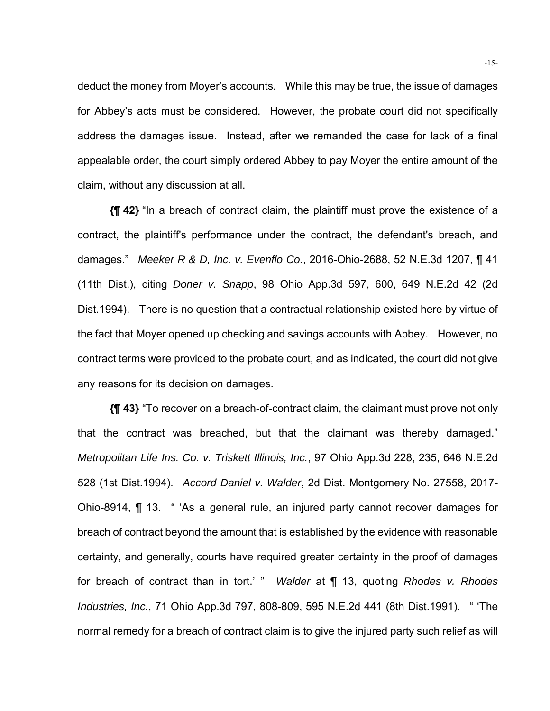deduct the money from Moyer's accounts. While this may be true, the issue of damages for Abbey's acts must be considered. However, the probate court did not specifically address the damages issue. Instead, after we remanded the case for lack of a final appealable order, the court simply ordered Abbey to pay Moyer the entire amount of the claim, without any discussion at all.

**{¶ 42}** "In a breach of contract claim, the plaintiff must prove the existence of a contract, the plaintiff's performance under the contract, the defendant's breach, and damages." *Meeker R & D, Inc. v. Evenflo Co.*, 2016-Ohio-2688, 52 N.E.3d 1207, ¶ 41 (11th Dist.), citing *Doner v. Snapp*, 98 Ohio App.3d 597, 600, 649 N.E.2d 42 (2d Dist.1994). There is no question that a contractual relationship existed here by virtue of the fact that Moyer opened up checking and savings accounts with Abbey. However, no contract terms were provided to the probate court, and as indicated, the court did not give any reasons for its decision on damages.

**{¶ 43}** "To recover on a breach-of-contract claim, the claimant must prove not only that the contract was breached, but that the claimant was thereby damaged." *Metropolitan Life Ins. Co. v. Triskett Illinois, Inc.*, 97 Ohio App.3d 228, 235, 646 N.E.2d 528 (1st Dist.1994). *Accord Daniel v. Walder*, 2d Dist. Montgomery No. 27558, 2017- Ohio-8914, ¶ 13. " 'As a general rule, an injured party cannot recover damages for breach of contract beyond the amount that is established by the evidence with reasonable certainty, and generally, courts have required greater certainty in the proof of damages for breach of contract than in tort.' " *Walder* at ¶ 13, quoting *Rhodes v. Rhodes Industries, Inc.*, 71 Ohio App.3d 797, 808-809, 595 N.E.2d 441 (8th Dist.1991). " 'The normal remedy for a breach of contract claim is to give the injured party such relief as will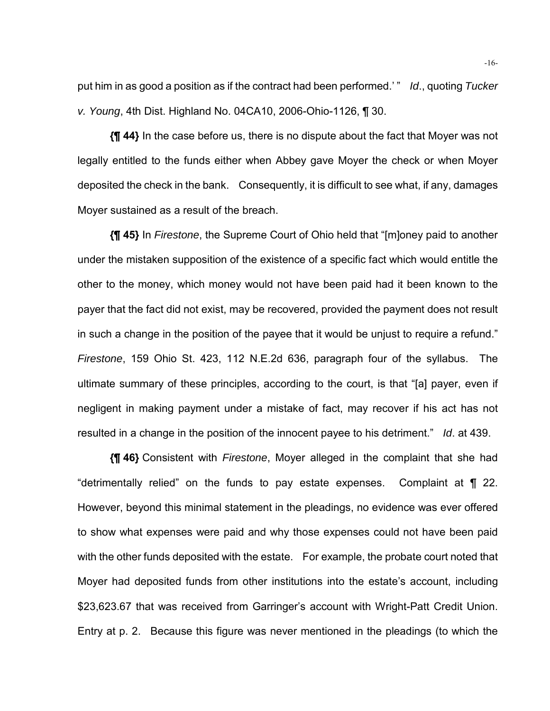put him in as good a position as if the contract had been performed.' " *Id*., quoting *Tucker v. Young*, 4th Dist. Highland No. 04CA10, 2006-Ohio-1126, ¶ 30.

**{¶ 44}** In the case before us, there is no dispute about the fact that Moyer was not legally entitled to the funds either when Abbey gave Moyer the check or when Moyer deposited the check in the bank. Consequently, it is difficult to see what, if any, damages Moyer sustained as a result of the breach.

**{¶ 45}** In *Firestone*, the Supreme Court of Ohio held that "[m]oney paid to another under the mistaken supposition of the existence of a specific fact which would entitle the other to the money, which money would not have been paid had it been known to the payer that the fact did not exist, may be recovered, provided the payment does not result in such a change in the position of the payee that it would be unjust to require a refund." *Firestone*, 159 Ohio St. 423, 112 N.E.2d 636, paragraph four of the syllabus. The ultimate summary of these principles, according to the court, is that "[a] payer, even if negligent in making payment under a mistake of fact, may recover if his act has not resulted in a change in the position of the innocent payee to his detriment." *Id*. at 439.

**{¶ 46}** Consistent with *Firestone*, Moyer alleged in the complaint that she had "detrimentally relied" on the funds to pay estate expenses. Complaint at ¶ 22. However, beyond this minimal statement in the pleadings, no evidence was ever offered to show what expenses were paid and why those expenses could not have been paid with the other funds deposited with the estate. For example, the probate court noted that Moyer had deposited funds from other institutions into the estate's account, including \$23,623.67 that was received from Garringer's account with Wright-Patt Credit Union. Entry at p. 2. Because this figure was never mentioned in the pleadings (to which the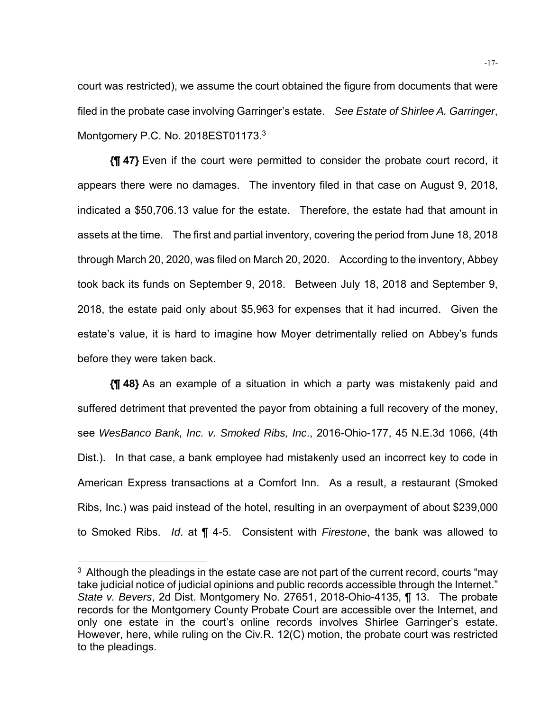court was restricted), we assume the court obtained the figure from documents that were filed in the probate case involving Garringer's estate. *See Estate of Shirlee A. Garringer*, Montgomery P.C. No. 2018EST01173.<sup>3</sup>

**{¶ 47}** Even if the court were permitted to consider the probate court record, it appears there were no damages. The inventory filed in that case on August 9, 2018, indicated a \$50,706.13 value for the estate. Therefore, the estate had that amount in assets at the time. The first and partial inventory, covering the period from June 18, 2018 through March 20, 2020, was filed on March 20, 2020. According to the inventory, Abbey took back its funds on September 9, 2018. Between July 18, 2018 and September 9, 2018, the estate paid only about \$5,963 for expenses that it had incurred. Given the estate's value, it is hard to imagine how Moyer detrimentally relied on Abbey's funds before they were taken back.

**{¶ 48}** As an example of a situation in which a party was mistakenly paid and suffered detriment that prevented the payor from obtaining a full recovery of the money, see *WesBanco Bank, Inc. v. Smoked Ribs, Inc*., 2016-Ohio-177, 45 N.E.3d 1066, (4th Dist.). In that case, a bank employee had mistakenly used an incorrect key to code in American Express transactions at a Comfort Inn. As a result, a restaurant (Smoked Ribs, Inc.) was paid instead of the hotel, resulting in an overpayment of about \$239,000 to Smoked Ribs. *Id*. at ¶ 4-5. Consistent with *Firestone*, the bank was allowed to

l

 $3$  Although the pleadings in the estate case are not part of the current record, courts "may take judicial notice of judicial opinions and public records accessible through the Internet." *State v. Bevers*, 2d Dist. Montgomery No. 27651, 2018-Ohio-4135, ¶ 13. The probate records for the Montgomery County Probate Court are accessible over the Internet, and only one estate in the court's online records involves Shirlee Garringer's estate. However, here, while ruling on the Civ.R. 12(C) motion, the probate court was restricted to the pleadings.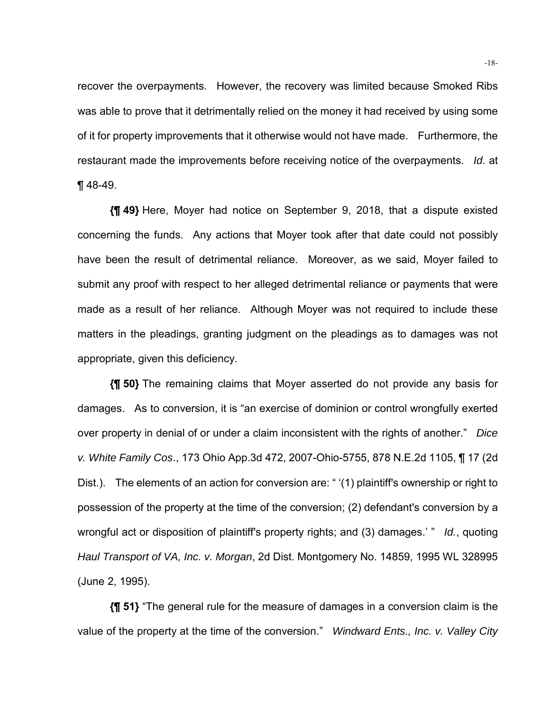recover the overpayments. However, the recovery was limited because Smoked Ribs was able to prove that it detrimentally relied on the money it had received by using some of it for property improvements that it otherwise would not have made. Furthermore, the restaurant made the improvements before receiving notice of the overpayments. *Id*. at ¶ 48-49.

**{¶ 49}** Here, Moyer had notice on September 9, 2018, that a dispute existed concerning the funds. Any actions that Moyer took after that date could not possibly have been the result of detrimental reliance. Moreover, as we said, Moyer failed to submit any proof with respect to her alleged detrimental reliance or payments that were made as a result of her reliance. Although Moyer was not required to include these matters in the pleadings, granting judgment on the pleadings as to damages was not appropriate, given this deficiency.

**{¶ 50}** The remaining claims that Moyer asserted do not provide any basis for damages. As to conversion, it is "an exercise of dominion or control wrongfully exerted over property in denial of or under a claim inconsistent with the rights of another." *Dice v. White Family Cos*., 173 Ohio App.3d 472, 2007-Ohio-5755, 878 N.E.2d 1105, ¶ 17 (2d Dist.). The elements of an action for conversion are: " '(1) plaintiff's ownership or right to possession of the property at the time of the conversion; (2) defendant's conversion by a wrongful act or disposition of plaintiff's property rights; and (3) damages.' " *Id.*, quoting *Haul Transport of VA, Inc. v. Morgan*, 2d Dist. Montgomery No. 14859, 1995 WL 328995 (June 2, 1995).

**{¶ 51}** "The general rule for the measure of damages in a conversion claim is the value of the property at the time of the conversion." *Windward Ents., Inc. v. Valley City*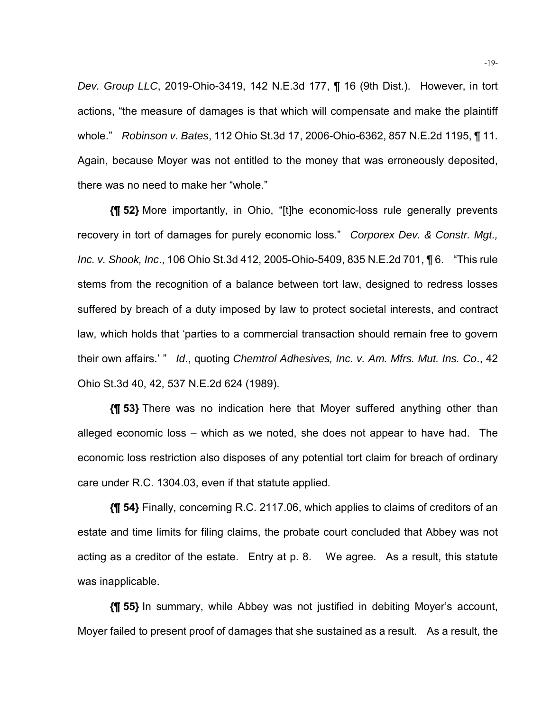*Dev. Group LLC*, 2019-Ohio-3419, 142 N.E.3d 177, ¶ 16 (9th Dist.). However, in tort actions, "the measure of damages is that which will compensate and make the plaintiff whole." *Robinson v. Bates*, 112 Ohio St.3d 17, 2006-Ohio-6362, 857 N.E.2d 1195, ¶ 11. Again, because Moyer was not entitled to the money that was erroneously deposited, there was no need to make her "whole."

**{¶ 52}** More importantly, in Ohio, "[t]he economic-loss rule generally prevents recovery in tort of damages for purely economic loss." *Corporex Dev. & Constr. Mgt., Inc. v. Shook, Inc*., 106 Ohio St.3d 412, 2005-Ohio-5409, 835 N.E.2d 701, ¶ 6. "This rule stems from the recognition of a balance between tort law, designed to redress losses suffered by breach of a duty imposed by law to protect societal interests, and contract law, which holds that 'parties to a commercial transaction should remain free to govern their own affairs.' " *Id*., quoting *Chemtrol Adhesives, Inc. v. Am. Mfrs. Mut. Ins. Co*., 42 Ohio St.3d 40, 42, 537 N.E.2d 624 (1989).

**{¶ 53}** There was no indication here that Moyer suffered anything other than alleged economic loss – which as we noted, she does not appear to have had. The economic loss restriction also disposes of any potential tort claim for breach of ordinary care under R.C. 1304.03, even if that statute applied.

**{¶ 54}** Finally, concerning R.C. 2117.06, which applies to claims of creditors of an estate and time limits for filing claims, the probate court concluded that Abbey was not acting as a creditor of the estate. Entry at p. 8. We agree. As a result, this statute was inapplicable.

**{¶ 55}** In summary, while Abbey was not justified in debiting Moyer's account, Moyer failed to present proof of damages that she sustained as a result. As a result, the